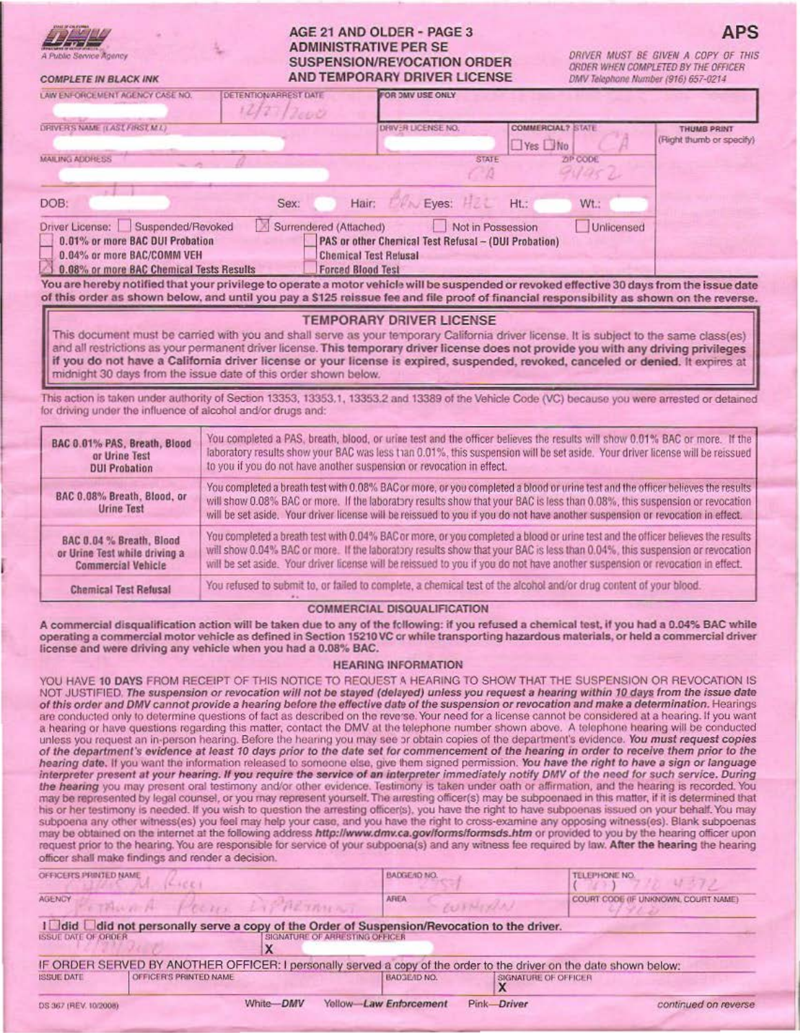| <b>PEACANG ANDANYIE AND</b> | Π |
|-----------------------------|---|

# **COMPLETE IN BLACK INK**

## AGE 21 AND OLDER - PAGE 3 **ADMINISTRATIVE PER SE** SUSPENSION/REVOCATION ORDER **AND TEMPORARY DRIVER LICENSE**

DRIVER MUST BE GIVEN A COPY OF THIS ORDER WHEN COMPLETED BY THE OFFICER DMV Telephone Number (916) 657-0214

ΔPS

| LAW ENFORCE MENT AGENCY CASE NO.                                                                                                               | <b>DETENTION/ARREST DATE</b><br>1277 | FOR DMV USE ONLY                                                                                                 |                      |                          |                                                |
|------------------------------------------------------------------------------------------------------------------------------------------------|--------------------------------------|------------------------------------------------------------------------------------------------------------------|----------------------|--------------------------|------------------------------------------------|
| DRIVER'S NAME (LAST FIRST, M.I.)                                                                                                               |                                      | DRIVER LICENSE NO.                                                                                               | $\Box$ Yes $\Box$ No | <b>COMMERCIAL? STATE</b> | <b>THUMB PRINT</b><br>(Right thumb or specify) |
| <b>MAILING ADDRESS</b>                                                                                                                         |                                      |                                                                                                                  | <b>STATE</b>         | ZIP CODE<br>organ        |                                                |
| DOB:                                                                                                                                           | Sex:                                 | Eves:<br>Hair:                                                                                                   | Ht.                  | Wt.:                     |                                                |
| Driver License: Suspended/Revoked<br>0.01% or more BAC DUI Probation<br>0.04% or more BAC/COMM VEH<br>0.08% or more BAC Chemical Tests Results | Surrendered (Attached)               | PAS or other Chemical Test Refusal - (DUI Probation)<br><b>Chemical Test Relusal</b><br><b>Forced Blood Test</b> | Not in Possession    | Unlicensed               |                                                |

You are hereby notified that your privilege to operate a motor vehicle will be suspended or revoked effective 30 days from the issue date of this order as shown below, and until you pay a \$125 reissue fee and file proof of financial responsibility as shown on the reverse.

## **TEMPORARY DRIVER LICENSE**

This document must be carried with you and shall serve as your temporary California driver license. It is subject to the same class(es) and all restrictions as your permanent driver license. This temporary driver license does not provide you with any driving privileges if you do not have a California driver license or your license is expired, suspended, revoked, canceled or denied. It expires at midnight 30 days from the issue date of this order shown below.

This action is taken under authority of Section 13353, 13353, 1, 13353.2 and 13389 of the Vehicle Code (VC) because you were arrested or detained for driving under the influence of alcohol and/or drugs and:

| BAC 0.01% PAS, Breath, Blood              | You completed a PAS, breath, blood, or urine test and the officer believes the results will show 0.01% BAC or more. If the                                                                                                                                                                                                                                                                      |
|-------------------------------------------|-------------------------------------------------------------------------------------------------------------------------------------------------------------------------------------------------------------------------------------------------------------------------------------------------------------------------------------------------------------------------------------------------|
| or Urine Test                             | laboratory results show your BAC was less than 0.01%, this suspension will be set aside. Your driver license will be reissued                                                                                                                                                                                                                                                                   |
| <b>DUI Probation</b>                      | to you if you do not have another suspension or revocation in effect.                                                                                                                                                                                                                                                                                                                           |
| BAC 0.08% Breath, Blood, or<br>Urine Test | You completed a breath test with 0.08% BAC or more, or you completed a blood or urine test and the officer believes the results<br>will show 0.08% BAC or more. If the laboratory results show that your BAC is less than 0.08%, this suspension or revocation<br>will be set aside. Your driver license will be reissued to you if you do not have another suspension or revocation in effect. |
| BAC 0.04 % Breath, Blood                  | You completed a breath test with 0.04% BAC or more, or you completed a blood or urine test and the officer believes the results                                                                                                                                                                                                                                                                 |
| or Urine Test while driving a             | will show 0.04% BAC or more. If the laboratory results show that your BAC is less than 0.04%, this suspension or revocation                                                                                                                                                                                                                                                                     |
| <b>Commercial Vehicle</b>                 | will be set aside. Your driver license will be reissued to you if you do not have another suspension or revocation in effect.                                                                                                                                                                                                                                                                   |
| <b>Chemical Test Refusal</b>              | You refused to submit to, or failed to complete, a chemical test of the alcohol and/or drug content of your blood.                                                                                                                                                                                                                                                                              |

#### **COMMERCIAL DISQUALIFICATION**

A commercial disqualification action will be taken due to any of the following: if you refused a chemical test, if you had a 0.04% BAC while operating a commercial motor vehicle as defined in Section 15210 VC or while transporting hazardous materials, or held a commercial driver license and were driving any vehicle when you had a 0.08% BAC.

#### **HEARING INFORMATION**

YOU HAVE 10 DAYS FROM RECEIPT OF THIS NOTICE TO REQUEST A HEARING TO SHOW THAT THE SUSPENSION OR REVOCATION IS NOT JUSTIFIED. The suspension or revocation will not be stayed (delayed) unless you request a hearing within 10 days from the issue date of this order and DMV cannot provide a hearing before the effective date of the suspension or revocation and make a determination. Hearings are conducted only to determine questions of fact as described on the reverse. Your need for a license cannot be considered at a hearing. If you want a hearing or have questions regarding this matter, contact the DMV at the telephone number shown above. A telephone hearing will be conducted unless you request an in-person hearing. Before the hearing you may see or obtain copies of the department's evidence. You must request copies of the department's evidence at least 10 days prior to the date set for commencement of the hearing in order to receive them prior to the hearing date. If you want the information released to someone else, give them signed permission. You have the right to have a sign or language interpreter present at your hearing. If you require the service of an interpreter immediately notify DMV of the need for such service. During the hearing you may present oral testimony and/or other evidence. Testimony is taken under oath or affirmation, and the hearing is recorded. You may be represented by legal counsel, or you may represent yourself. The arresting officer(s) may be subpoenaed in this matter, if it is determined that his or her testimony is needed. If you wish to question the arresting officer(s), you have the right to have subpoenas issued on your behalf. You may subpoena any other witness(es) you feel may help your case, and you have the right to cross-examine any opposing witness(es). Blank subpoenas may be obtained on the internet at the following address http://www.dmv.ca.gov/forms/formsds.htm or provided to you by the hearing officer upon request prior to the hearing. You are responsible for service of your subpoena(s) and any witness fee required by law. After the hearing the hearing officer shall make findings and render a decision.

| OFFICER'S PRINTED NAME.                     | $6 - 60 + 1$                                                                                                                      | <b>BADGE/ID NO.</b>                   | <b>TELEPHONE NO.</b>                |  |
|---------------------------------------------|-----------------------------------------------------------------------------------------------------------------------------------|---------------------------------------|-------------------------------------|--|
| AGENCY                                      | THURA PECIE LIPARTANCE                                                                                                            | AREA<br>RUSHILLA                      | COURT COOE (IF UNKNOWN, COURT NAME) |  |
| <b>ISSUE DATE OF ORDER</b>                  | I did did not personally serve a copy of the Order of Suspension/Revocation to the driver.<br>SIGNATURE OF ARRESTING OFFICER<br>⋏ |                                       |                                     |  |
|                                             | IF ORDER SERVED BY ANOTHER OFFICER: I personally served a copy of the order to the driver on the date shown below:                |                                       |                                     |  |
| OFFICER'S PRINTED NAME<br><b>ISSUE DATE</b> |                                                                                                                                   | <b>BADGEAD NO.</b>                    | SIGNATURE OF OFFICER                |  |
| DS 367 (REV. 10/2008)                       | White-DMV                                                                                                                         | Yellow-Law Enforcement<br>Pink-Driver | continued on reverse                |  |